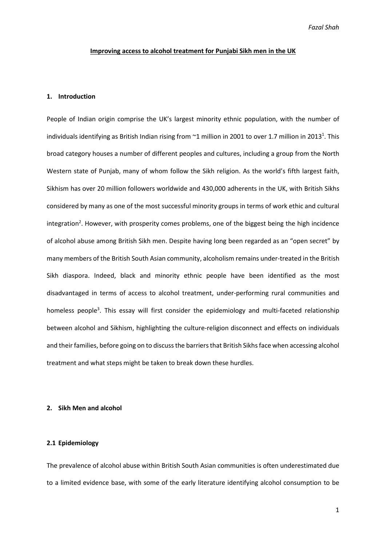#### **Improving access to alcohol treatment for Punjabi Sikh men in the UK**

### **1. Introduction**

People of Indian origin comprise the UK's largest minority ethnic population, with the number of individuals identifying as British Indian rising from  $\sim$ 1 million in 2001 to over 1.7 million in 2013<sup>1</sup>. This broad category houses a number of different peoples and cultures, including a group from the North Western state of Punjab, many of whom follow the Sikh religion. As the world's fifth largest faith, Sikhism has over 20 million followers worldwide and 430,000 adherents in the UK, with British Sikhs considered by many as one of the most successful minority groups in terms of work ethic and cultural integration<sup>2</sup>. However, with prosperity comes problems, one of the biggest being the high incidence of alcohol abuse among British Sikh men. Despite having long been regarded as an "open secret" by many members of the British South Asian community, alcoholism remains under-treated in the British Sikh diaspora. Indeed, black and minority ethnic people have been identified as the most disadvantaged in terms of access to alcohol treatment, under-performing rural communities and homeless people<sup>3</sup>. This essay will first consider the epidemiology and multi-faceted relationship between alcohol and Sikhism, highlighting the culture-religion disconnect and effects on individuals and their families, before going on to discuss the barriers that British Sikhs face when accessing alcohol treatment and what steps might be taken to break down these hurdles.

# **2. Sikh Men and alcohol**

# **2.1 Epidemiology**

The prevalence of alcohol abuse within British South Asian communities is often underestimated due to a limited evidence base, with some of the early literature identifying alcohol consumption to be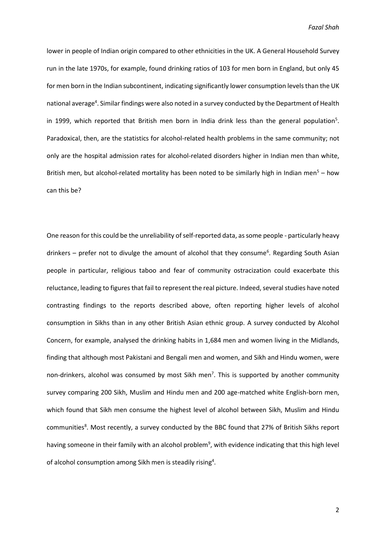lower in people of Indian origin compared to other ethnicities in the UK. A General Household Survey run in the late 1970s, for example, found drinking ratios of 103 for men born in England, but only 45 for men born in the Indian subcontinent, indicating significantly lower consumption levels than the UK national average<sup>4</sup>. Similar findings were also noted in a survey conducted by the Department of Health in 1999, which reported that British men born in India drink less than the general population<sup>5</sup>. Paradoxical, then, are the statistics for alcohol-related health problems in the same community; not only are the hospital admission rates for alcohol-related disorders higher in Indian men than white, British men, but alcohol-related mortality has been noted to be similarly high in Indian men<sup>5</sup> – how can this be?

One reason for this could be the unreliability of self-reported data, as some people - particularly heavy drinkers - prefer not to divulge the amount of alcohol that they consume<sup>6</sup>. Regarding South Asian people in particular, religious taboo and fear of community ostracization could exacerbate this reluctance, leading to figures that fail to represent the real picture. Indeed, several studies have noted contrasting findings to the reports described above, often reporting higher levels of alcohol consumption in Sikhs than in any other British Asian ethnic group. A survey conducted by Alcohol Concern, for example, analysed the drinking habits in 1,684 men and women living in the Midlands, finding that although most Pakistani and Bengali men and women, and Sikh and Hindu women, were non-drinkers, alcohol was consumed by most Sikh men<sup>7</sup>. This is supported by another community survey comparing 200 Sikh, Muslim and Hindu men and 200 age-matched white English-born men, which found that Sikh men consume the highest level of alcohol between Sikh, Muslim and Hindu communities<sup>8</sup>. Most recently, a survey conducted by the BBC found that 27% of British Sikhs report having someone in their family with an alcohol problem<sup>9</sup>, with evidence indicating that this high level of alcohol consumption among Sikh men is steadily rising<sup>4</sup>.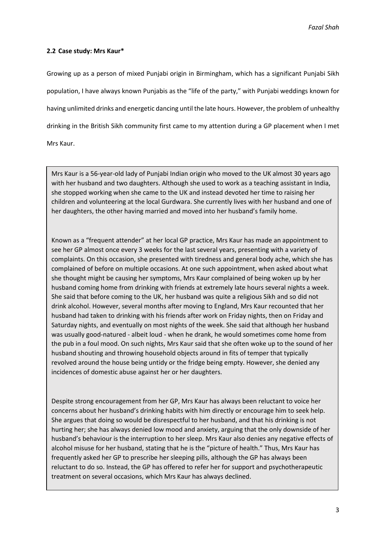# **2.2 Case study: Mrs Kaur\***

Growing up as a person of mixed Punjabi origin in Birmingham, which has a significant Punjabi Sikh population, I have always known Punjabis as the "life of the party," with Punjabi weddings known for having unlimited drinks and energetic dancing until the late hours. However, the problem of unhealthy drinking in the British Sikh community first came to my attention during a GP placement when I met Mrs Kaur.

Mrs Kaur is a 56-year-old lady of Punjabi Indian origin who moved to the UK almost 30 years ago with her husband and two daughters. Although she used to work as a teaching assistant in India, she stopped working when she came to the UK and instead devoted her time to raising her children and volunteering at the local Gurdwara. She currently lives with her husband and one of her daughters, the other having married and moved into her husband's family home.

Known as a "frequent attender" at her local GP practice, Mrs Kaur has made an appointment to see her GP almost once every 3 weeks for the last several years, presenting with a variety of complaints. On this occasion, she presented with tiredness and general body ache, which she has complained of before on multiple occasions. At one such appointment, when asked about what she thought might be causing her symptoms, Mrs Kaur complained of being woken up by her husband coming home from drinking with friends at extremely late hours several nights a week. She said that before coming to the UK, her husband was quite a religious Sikh and so did not drink alcohol. However, several months after moving to England, Mrs Kaur recounted that her husband had taken to drinking with his friends after work on Friday nights, then on Friday and Saturday nights, and eventually on most nights of the week. She said that although her husband was usually good-natured - albeit loud - when he drank, he would sometimes come home from the pub in a foul mood. On such nights, Mrs Kaur said that she often woke up to the sound of her husband shouting and throwing household objects around in fits of temper that typically revolved around the house being untidy or the fridge being empty. However, she denied any incidences of domestic abuse against her or her daughters.

Despite strong encouragement from her GP, Mrs Kaur has always been reluctant to voice her concerns about her husband's drinking habits with him directly or encourage him to seek help. She argues that doing so would be disrespectful to her husband, and that his drinking is not hurting her; she has always denied low mood and anxiety, arguing that the only downside of her husband's behaviour is the interruption to her sleep. Mrs Kaur also denies any negative effects of alcohol misuse for her husband, stating that he is the "picture of health." Thus, Mrs Kaur has frequently asked her GP to prescribe her sleeping pills, although the GP has always been reluctant to do so. Instead, the GP has offered to refer her for support and psychotherapeutic treatment on several occasions, which Mrs Kaur has always declined.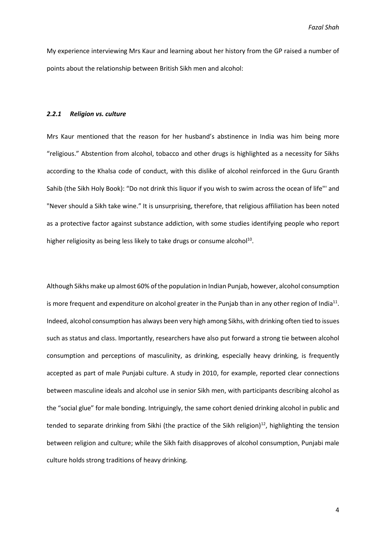My experience interviewing Mrs Kaur and learning about her history from the GP raised a number of points about the relationship between British Sikh men and alcohol:

### *2.2.1 Religion vs. culture*

Mrs Kaur mentioned that the reason for her husband's abstinence in India was him being more "religious." Abstention from alcohol, tobacco and other drugs is highlighted as a necessity for Sikhs according to the Khalsa code of conduct, with this dislike of alcohol reinforced in the Guru Granth Sahib (the Sikh Holy Book): "Do not drink this liquor if you wish to swim across the ocean of life"' and "Never should a Sikh take wine." It is unsurprising, therefore, that religious affiliation has been noted as a protective factor against substance addiction, with some studies identifying people who report higher religiosity as being less likely to take drugs or consume alcohol<sup>10</sup>.

Although Sikhs make up almost 60% of the population in Indian Punjab, however, alcohol consumption is more frequent and expenditure on alcohol greater in the Punjab than in any other region of India<sup>11</sup>. Indeed, alcohol consumption has always been very high among Sikhs, with drinking often tied to issues such as status and class. Importantly, researchers have also put forward a strong tie between alcohol consumption and perceptions of masculinity, as drinking, especially heavy drinking, is frequently accepted as part of male Punjabi culture. A study in 2010, for example, reported clear connections between masculine ideals and alcohol use in senior Sikh men, with participants describing alcohol as the "social glue" for male bonding. Intriguingly, the same cohort denied drinking alcohol in public and tended to separate drinking from Sikhi (the practice of the Sikh religion)<sup>12</sup>, highlighting the tension between religion and culture; while the Sikh faith disapproves of alcohol consumption, Punjabi male culture holds strong traditions of heavy drinking.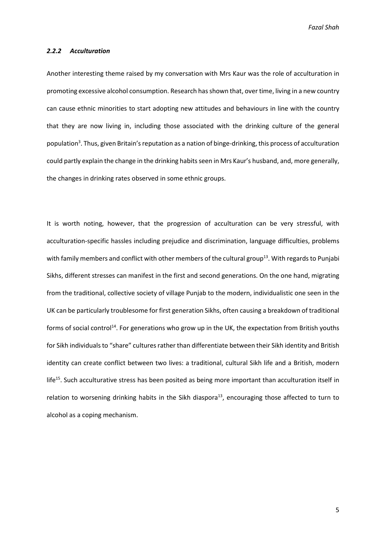#### *2.2.2 Acculturation*

Another interesting theme raised by my conversation with Mrs Kaur was the role of acculturation in promoting excessive alcohol consumption. Research has shown that, over time, living in a new country can cause ethnic minorities to start adopting new attitudes and behaviours in line with the country that they are now living in, including those associated with the drinking culture of the general population<sup>3</sup>. Thus, given Britain's reputation as a nation of binge-drinking, this process of acculturation could partly explain the change in the drinking habits seen in Mrs Kaur's husband, and, more generally, the changes in drinking rates observed in some ethnic groups.

It is worth noting, however, that the progression of acculturation can be very stressful, with acculturation-specific hassles including prejudice and discrimination, language difficulties, problems with family members and conflict with other members of the cultural group<sup>13</sup>. With regards to Punjabi Sikhs, different stresses can manifest in the first and second generations. On the one hand, migrating from the traditional, collective society of village Punjab to the modern, individualistic one seen in the UK can be particularly troublesome for first generation Sikhs, often causing a breakdown of traditional forms of social control<sup>14</sup>. For generations who grow up in the UK, the expectation from British youths for Sikh individuals to "share" cultures rather than differentiate between their Sikh identity and British identity can create conflict between two lives: a traditional, cultural Sikh life and a British, modern life<sup>15</sup>. Such acculturative stress has been posited as being more important than acculturation itself in relation to worsening drinking habits in the Sikh diaspora<sup>13</sup>, encouraging those affected to turn to alcohol as a coping mechanism.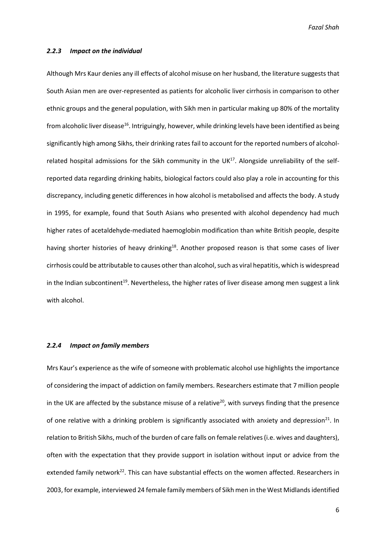#### *2.2.3 Impact on the individual*

Although Mrs Kaur denies any ill effects of alcohol misuse on her husband, the literature suggests that South Asian men are over-represented as patients for alcoholic liver cirrhosis in comparison to other ethnic groups and the general population, with Sikh men in particular making up 80% of the mortality from alcoholic liver disease<sup>16</sup>. Intriguingly, however, while drinking levels have been identified as being significantly high among Sikhs, their drinking rates fail to account for the reported numbers of alcoholrelated hospital admissions for the Sikh community in the UK<sup>17</sup>. Alongside unreliability of the selfreported data regarding drinking habits, biological factors could also play a role in accounting for this discrepancy, including genetic differences in how alcohol is metabolised and affects the body. A study in 1995, for example, found that South Asians who presented with alcohol dependency had much higher rates of acetaldehyde-mediated haemoglobin modification than white British people, despite having shorter histories of heavy drinking<sup>18</sup>. Another proposed reason is that some cases of liver cirrhosis could be attributable to causes other than alcohol, such as viral hepatitis, which is widespread in the Indian subcontinent<sup>19</sup>. Nevertheless, the higher rates of liver disease among men suggest a link with alcohol.

### *2.2.4 Impact on family members*

Mrs Kaur's experience as the wife of someone with problematic alcohol use highlights the importance of considering the impact of addiction on family members. Researchers estimate that 7 million people in the UK are affected by the substance misuse of a relative<sup>20</sup>, with surveys finding that the presence of one relative with a drinking problem is significantly associated with anxiety and depression<sup>21</sup>. In relation to British Sikhs, much of the burden of care falls on female relatives (i.e. wives and daughters), often with the expectation that they provide support in isolation without input or advice from the extended family network<sup>22</sup>. This can have substantial effects on the women affected. Researchers in 2003, for example, interviewed 24 female family members of Sikh men in the West Midlands identified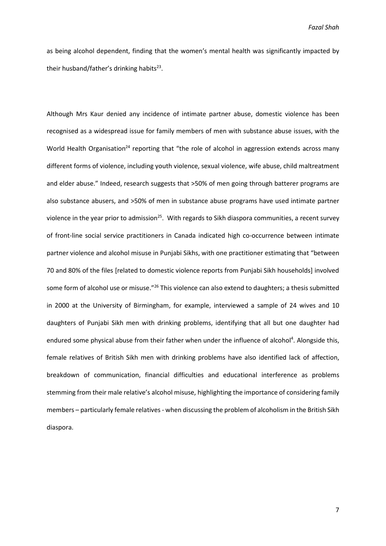as being alcohol dependent, finding that the women's mental health was significantly impacted by their husband/father's drinking habits<sup>23</sup>.

Although Mrs Kaur denied any incidence of intimate partner abuse, domestic violence has been recognised as a widespread issue for family members of men with substance abuse issues, with the World Health Organisation<sup>24</sup> reporting that "the role of alcohol in aggression extends across many different forms of violence, including youth violence, sexual violence, wife abuse, child maltreatment and elder abuse." Indeed, research suggests that >50% of men going through batterer programs are also substance abusers, and >50% of men in substance abuse programs have used intimate partner violence in the year prior to admission<sup>25</sup>. With regards to Sikh diaspora communities, a recent survey of front-line social service practitioners in Canada indicated high co-occurrence between intimate partner violence and alcohol misuse in Punjabi Sikhs, with one practitioner estimating that "between 70 and 80% of the files [related to domestic violence reports from Punjabi Sikh households] involved some form of alcohol use or misuse."<sup>26</sup> This violence can also extend to daughters; a thesis submitted in 2000 at the University of Birmingham, for example, interviewed a sample of 24 wives and 10 daughters of Punjabi Sikh men with drinking problems, identifying that all but one daughter had endured some physical abuse from their father when under the influence of alcohol<sup>4</sup>. Alongside this, female relatives of British Sikh men with drinking problems have also identified lack of affection, breakdown of communication, financial difficulties and educational interference as problems stemming from their male relative's alcohol misuse, highlighting the importance of considering family members – particularly female relatives - when discussing the problem of alcoholism in the British Sikh diaspora.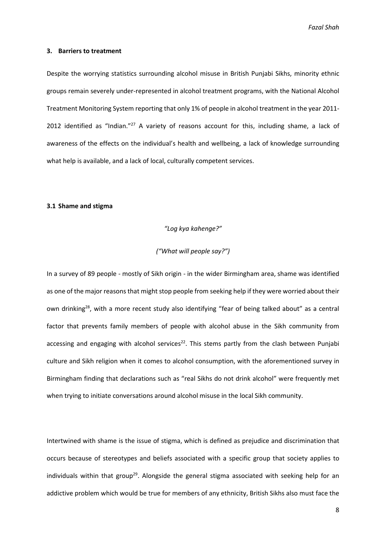#### **3. Barriers to treatment**

Despite the worrying statistics surrounding alcohol misuse in British Punjabi Sikhs, minority ethnic groups remain severely under-represented in alcohol treatment programs, with the National Alcohol Treatment Monitoring System reporting that only 1% of people in alcohol treatment in the year 2011- 2012 identified as "Indian."<sup>27</sup> A variety of reasons account for this, including shame, a lack of awareness of the effects on the individual's health and wellbeing, a lack of knowledge surrounding what help is available, and a lack of local, culturally competent services.

# **3.1 Shame and stigma**

#### *"Log kya kahenge?"*

# *("What will people say?")*

In a survey of 89 people - mostly of Sikh origin - in the wider Birmingham area, shame was identified as one of the major reasons that might stop people from seeking help if they were worried about their own drinking<sup>28</sup>, with a more recent study also identifying "fear of being talked about" as a central factor that prevents family members of people with alcohol abuse in the Sikh community from accessing and engaging with alcohol services<sup>22</sup>. This stems partly from the clash between Punjabi culture and Sikh religion when it comes to alcohol consumption, with the aforementioned survey in Birmingham finding that declarations such as "real Sikhs do not drink alcohol" were frequently met when trying to initiate conversations around alcohol misuse in the local Sikh community.

Intertwined with shame is the issue of stigma, which is defined as prejudice and discrimination that occurs because of stereotypes and beliefs associated with a specific group that society applies to individuals within that group<sup>29</sup>. Alongside the general stigma associated with seeking help for an addictive problem which would be true for members of any ethnicity, British Sikhs also must face the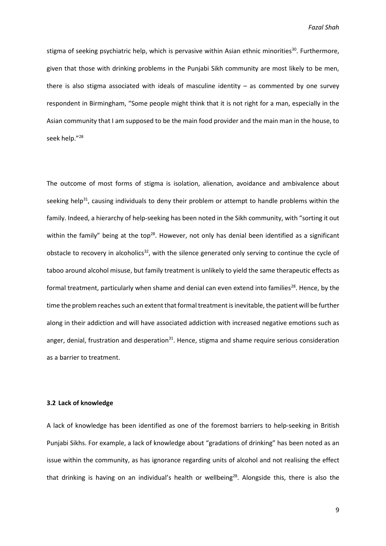stigma of seeking psychiatric help, which is pervasive within Asian ethnic minorities<sup>30</sup>. Furthermore, given that those with drinking problems in the Punjabi Sikh community are most likely to be men, there is also stigma associated with ideals of masculine identity  $-$  as commented by one survey respondent in Birmingham, "Some people might think that it is not right for a man, especially in the Asian community that I am supposed to be the main food provider and the main man in the house, to seek help." 28

The outcome of most forms of stigma is isolation, alienation, avoidance and ambivalence about seeking help<sup>31</sup>, causing individuals to deny their problem or attempt to handle problems within the family. Indeed, a hierarchy of help-seeking has been noted in the Sikh community, with "sorting it out within the family" being at the top<sup>28</sup>. However, not only has denial been identified as a significant obstacle to recovery in alcoholics<sup>32</sup>, with the silence generated only serving to continue the cycle of taboo around alcohol misuse, but family treatment is unlikely to yield the same therapeutic effects as formal treatment, particularly when shame and denial can even extend into families<sup>28</sup>. Hence, by the time the problem reaches such an extent that formal treatment is inevitable, the patient will be further along in their addiction and will have associated addiction with increased negative emotions such as anger, denial, frustration and desperation $31$ . Hence, stigma and shame require serious consideration as a barrier to treatment.

### **3.2 Lack of knowledge**

A lack of knowledge has been identified as one of the foremost barriers to help-seeking in British Punjabi Sikhs. For example, a lack of knowledge about "gradations of drinking" has been noted as an issue within the community, as has ignorance regarding units of alcohol and not realising the effect that drinking is having on an individual's health or wellbeing<sup>28</sup>. Alongside this, there is also the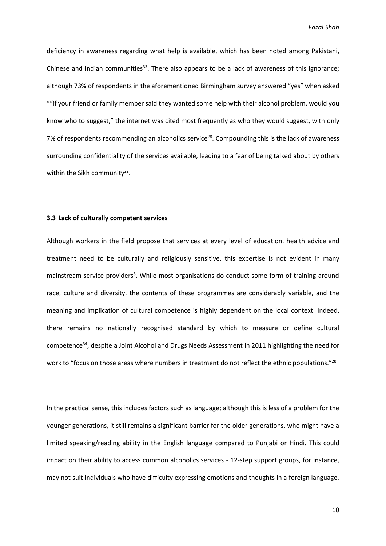deficiency in awareness regarding what help is available, which has been noted among Pakistani, Chinese and Indian communities<sup>33</sup>. There also appears to be a lack of awareness of this ignorance; although 73% of respondents in the aforementioned Birmingham survey answered "yes" when asked ""if your friend or family member said they wanted some help with their alcohol problem, would you know who to suggest," the internet was cited most frequently as who they would suggest, with only 7% of respondents recommending an alcoholics service<sup>28</sup>. Compounding this is the lack of awareness surrounding confidentiality of the services available, leading to a fear of being talked about by others within the Sikh community<sup>22</sup>.

# **3.3 Lack of culturally competent services**

Although workers in the field propose that services at every level of education, health advice and treatment need to be culturally and religiously sensitive, this expertise is not evident in many mainstream service providers<sup>3</sup>. While most organisations do conduct some form of training around race, culture and diversity, the contents of these programmes are considerably variable, and the meaning and implication of cultural competence is highly dependent on the local context. Indeed, there remains no nationally recognised standard by which to measure or define cultural competence<sup>34</sup>, despite a Joint Alcohol and Drugs Needs Assessment in 2011 highlighting the need for work to "focus on those areas where numbers in treatment do not reflect the ethnic populations."<sup>28</sup>

In the practical sense, this includes factors such as language; although this is less of a problem for the younger generations, it still remains a significant barrier for the older generations, who might have a limited speaking/reading ability in the English language compared to Punjabi or Hindi. This could impact on their ability to access common alcoholics services - 12-step support groups, for instance, may not suit individuals who have difficulty expressing emotions and thoughts in a foreign language.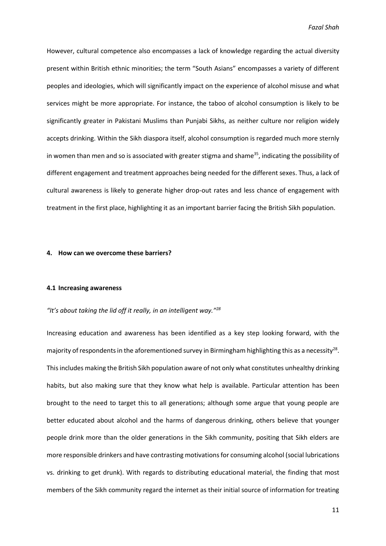However, cultural competence also encompasses a lack of knowledge regarding the actual diversity present within British ethnic minorities; the term "South Asians" encompasses a variety of different peoples and ideologies, which will significantly impact on the experience of alcohol misuse and what services might be more appropriate. For instance, the taboo of alcohol consumption is likely to be significantly greater in Pakistani Muslims than Punjabi Sikhs, as neither culture nor religion widely accepts drinking. Within the Sikh diaspora itself, alcohol consumption is regarded much more sternly in women than men and so is associated with greater stigma and shame<sup>35</sup>, indicating the possibility of different engagement and treatment approaches being needed for the different sexes. Thus, a lack of cultural awareness is likely to generate higher drop-out rates and less chance of engagement with treatment in the first place, highlighting it as an important barrier facing the British Sikh population.

#### **4. How can we overcome these barriers?**

#### **4.1 Increasing awareness**

# *"It's about taking the lid off it really, in an intelligent way."<sup>28</sup>*

Increasing education and awareness has been identified as a key step looking forward, with the majority of respondents in the aforementioned survey in Birmingham highlighting this as a necessity<sup>28</sup>. This includes making the British Sikh population aware of not only what constitutes unhealthy drinking habits, but also making sure that they know what help is available. Particular attention has been brought to the need to target this to all generations; although some argue that young people are better educated about alcohol and the harms of dangerous drinking, others believe that younger people drink more than the older generations in the Sikh community, positing that Sikh elders are more responsible drinkers and have contrasting motivations for consuming alcohol (social lubrications vs. drinking to get drunk). With regards to distributing educational material, the finding that most members of the Sikh community regard the internet as their initial source of information for treating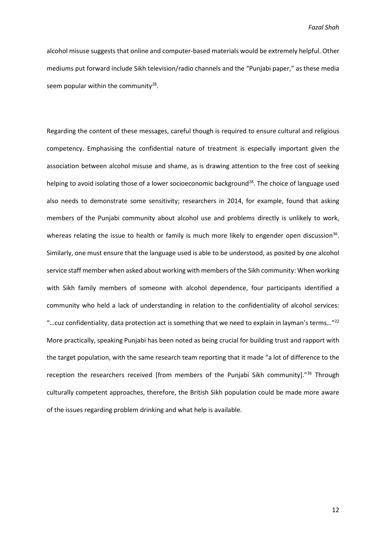alcohol misuse suggests that online and computer-based materials would be extremely helpful. Other mediums put forward include Sikh television/radio channels and the "Punjabi paper," as these media seem popular within the community<sup>28</sup>.

Regarding the content of these messages, careful though is required to ensure cultural and religious competency. Emphasising the confidential nature of treatment is especially important given the association between alcohol misuse and shame, as is drawing attention to the free cost of seeking helping to avoid isolating those of a lower socioeconomic background<sup>28</sup>. The choice of language used also needs to demonstrate some sensitivity; researchers in 2014, for example, found that asking members of the Punjabi community about alcohol use and problems directly is unlikely to work, whereas relating the issue to health or family is much more likely to engender open discussion<sup>36</sup>. Similarly, one must ensure that the language used is able to be understood, as posited by one alcohol service staff member when asked about working with members of the Sikh community: When working with Sikh family members of someone with alcohol dependence, four participants identified a community who held a lack of understanding in relation to the confidentiality of alcohol services: "…cuz confidentiality, data protection act is something that we need to explain in layman's terms…" 22 More practically, speaking Punjabi has been noted as being crucial for building trust and rapport with the target population, with the same research team reporting that it made "a lot of difference to the reception the researchers received [from members of the Punjabi Sikh community]."<sup>36</sup> Through culturally competent approaches, therefore, the British Sikh population could be made more aware of the issues regarding problem drinking and what help is available.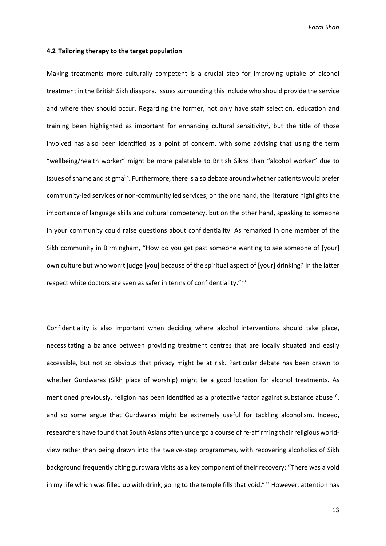#### **4.2 Tailoring therapy to the target population**

Making treatments more culturally competent is a crucial step for improving uptake of alcohol treatment in the British Sikh diaspora. Issues surrounding this include who should provide the service and where they should occur. Regarding the former, not only have staff selection, education and training been highlighted as important for enhancing cultural sensitivity<sup>3</sup>, but the title of those involved has also been identified as a point of concern, with some advising that using the term "wellbeing/health worker" might be more palatable to British Sikhs than "alcohol worker" due to issues of shame and stigma<sup>28</sup>. Furthermore, there is also debate around whether patients would prefer community-led services or non-community led services; on the one hand, the literature highlights the importance of language skills and cultural competency, but on the other hand, speaking to someone in your community could raise questions about confidentiality. As remarked in one member of the Sikh community in Birmingham, "How do you get past someone wanting to see someone of [your] own culture but who won't judge [you] because of the spiritual aspect of [your] drinking? In the latter respect white doctors are seen as safer in terms of confidentiality."<sup>28</sup>

Confidentiality is also important when deciding where alcohol interventions should take place, necessitating a balance between providing treatment centres that are locally situated and easily accessible, but not so obvious that privacy might be at risk. Particular debate has been drawn to whether Gurdwaras (Sikh place of worship) might be a good location for alcohol treatments. As mentioned previously, religion has been identified as a protective factor against substance abuse<sup>10</sup>, and so some argue that Gurdwaras might be extremely useful for tackling alcoholism. Indeed, researchers have found that South Asians often undergo a course of re-affirming their religious worldview rather than being drawn into the twelve-step programmes, with recovering alcoholics of Sikh background frequently citing gurdwara visits as a key component of their recovery: "There was a void in my life which was filled up with drink, going to the temple fills that void."<sup>37</sup> However, attention has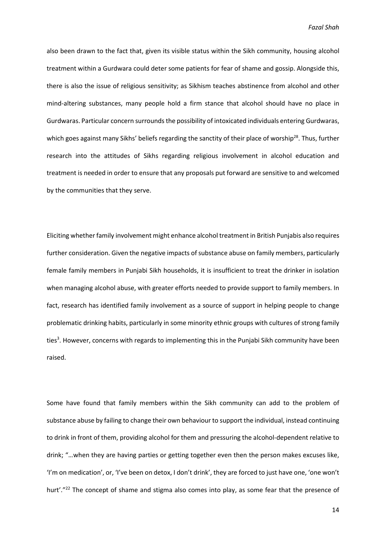also been drawn to the fact that, given its visible status within the Sikh community, housing alcohol treatment within a Gurdwara could deter some patients for fear of shame and gossip. Alongside this, there is also the issue of religious sensitivity; as Sikhism teaches abstinence from alcohol and other mind-altering substances, many people hold a firm stance that alcohol should have no place in Gurdwaras. Particular concern surrounds the possibility of intoxicated individuals entering Gurdwaras, which goes against many Sikhs' beliefs regarding the sanctity of their place of worship<sup>28</sup>. Thus, further research into the attitudes of Sikhs regarding religious involvement in alcohol education and treatment is needed in order to ensure that any proposals put forward are sensitive to and welcomed by the communities that they serve.

Eliciting whether family involvement might enhance alcohol treatment in British Punjabis also requires further consideration. Given the negative impacts of substance abuse on family members, particularly female family members in Punjabi Sikh households, it is insufficient to treat the drinker in isolation when managing alcohol abuse, with greater efforts needed to provide support to family members. In fact, research has identified family involvement as a source of support in helping people to change problematic drinking habits, particularly in some minority ethnic groups with cultures of strong family ties<sup>3</sup>. However, concerns with regards to implementing this in the Punjabi Sikh community have been raised.

Some have found that family members within the Sikh community can add to the problem of substance abuse by failing to change their own behaviour to support the individual, instead continuing to drink in front of them, providing alcohol for them and pressuring the alcohol-dependent relative to drink; "…when they are having parties or getting together even then the person makes excuses like, 'I'm on medication', or, 'I've been on detox, I don't drink', they are forced to just have one, 'one won't hurt'."<sup>22</sup> The concept of shame and stigma also comes into play, as some fear that the presence of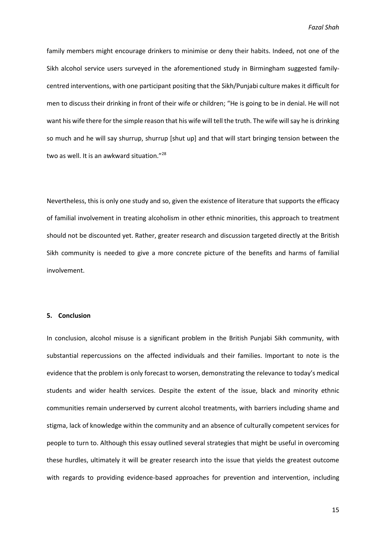family members might encourage drinkers to minimise or deny their habits. Indeed, not one of the Sikh alcohol service users surveyed in the aforementioned study in Birmingham suggested familycentred interventions, with one participant positing that the Sikh/Punjabi culture makes it difficult for men to discuss their drinking in front of their wife or children; "He is going to be in denial. He will not want his wife there for the simple reason that his wife will tell the truth. The wife will say he is drinking so much and he will say shurrup, shurrup [shut up] and that will start bringing tension between the two as well. It is an awkward situation."<sup>28</sup>

Nevertheless, this is only one study and so, given the existence of literature that supports the efficacy of familial involvement in treating alcoholism in other ethnic minorities, this approach to treatment should not be discounted yet. Rather, greater research and discussion targeted directly at the British Sikh community is needed to give a more concrete picture of the benefits and harms of familial involvement.

# **5. Conclusion**

In conclusion, alcohol misuse is a significant problem in the British Punjabi Sikh community, with substantial repercussions on the affected individuals and their families. Important to note is the evidence that the problem is only forecast to worsen, demonstrating the relevance to today's medical students and wider health services. Despite the extent of the issue, black and minority ethnic communities remain underserved by current alcohol treatments, with barriers including shame and stigma, lack of knowledge within the community and an absence of culturally competent services for people to turn to. Although this essay outlined several strategies that might be useful in overcoming these hurdles, ultimately it will be greater research into the issue that yields the greatest outcome with regards to providing evidence-based approaches for prevention and intervention, including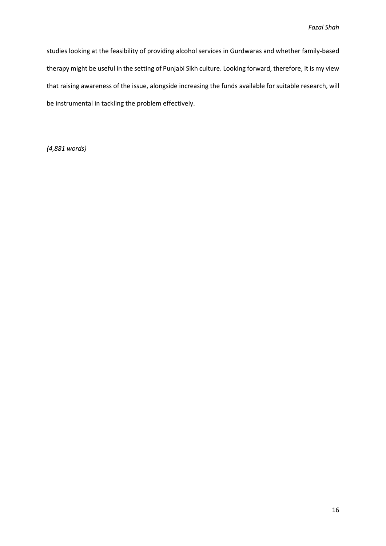studies looking at the feasibility of providing alcohol services in Gurdwaras and whether family-based therapy might be useful in the setting of Punjabi Sikh culture. Looking forward, therefore, it is my view that raising awareness of the issue, alongside increasing the funds available for suitable research, will be instrumental in tackling the problem effectively.

*(4,881 words)*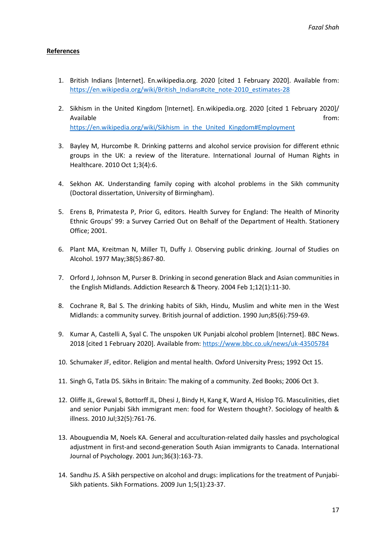# **References**

- 1. British Indians [Internet]. En.wikipedia.org. 2020 [cited 1 February 2020]. Available from: [https://en.wikipedia.org/wiki/British\\_Indians#cite\\_note-2010\\_estimates-28](https://en.wikipedia.org/wiki/British_Indians#cite_note-2010_estimates-28)
- 2. Sikhism in the United Kingdom [Internet]. En.wikipedia.org. 2020 [cited 1 February 2020]/ Available from: the state of the state of the state of the state of the state of the state of the state of the state of the state of the state of the state of the state of the state of the state of the state of the state o [https://en.wikipedia.org/wiki/Sikhism\\_in\\_the\\_United\\_Kingdom#Employment](https://en.wikipedia.org/wiki/Sikhism_in_the_United_Kingdom#Employment)
- 3. Bayley M, Hurcombe R. Drinking patterns and alcohol service provision for different ethnic groups in the UK: a review of the literature. International Journal of Human Rights in Healthcare. 2010 Oct 1;3(4):6.
- 4. Sekhon AK. Understanding family coping with alcohol problems in the Sikh community (Doctoral dissertation, University of Birmingham).
- 5. Erens B, Primatesta P, Prior G, editors. Health Survey for England: The Health of Minority Ethnic Groups' 99: a Survey Carried Out on Behalf of the Department of Health. Stationery Office; 2001.
- 6. Plant MA, Kreitman N, Miller TI, Duffy J. Observing public drinking. Journal of Studies on Alcohol. 1977 May;38(5):867-80.
- 7. Orford J, Johnson M, Purser B. Drinking in second generation Black and Asian communities in the English Midlands. Addiction Research & Theory. 2004 Feb 1;12(1):11-30.
- 8. Cochrane R, Bal S. The drinking habits of Sikh, Hindu, Muslim and white men in the West Midlands: a community survey. British journal of addiction. 1990 Jun;85(6):759-69.
- 9. Kumar A, Castelli A, Syal C. The unspoken UK Punjabi alcohol problem [Internet]. BBC News. 2018 [cited 1 February 2020]. Available from[: https://www.bbc.co.uk/news/uk-43505784](https://www.bbc.co.uk/news/uk-43505784)
- 10. Schumaker JF, editor. Religion and mental health. Oxford University Press; 1992 Oct 15.
- 11. Singh G, Tatla DS. Sikhs in Britain: The making of a community. Zed Books; 2006 Oct 3.
- 12. Oliffe JL, Grewal S, Bottorff JL, Dhesi J, Bindy H, Kang K, Ward A, Hislop TG. Masculinities, diet and senior Punjabi Sikh immigrant men: food for Western thought?. Sociology of health & illness. 2010 Jul;32(5):761-76.
- 13. Abouguendia M, Noels KA. General and acculturation‐related daily hassles and psychological adjustment in first-and second-generation South Asian immigrants to Canada. International Journal of Psychology. 2001 Jun;36(3):163-73.
- 14. Sandhu JS. A Sikh perspective on alcohol and drugs: implications for the treatment of Punjabi-Sikh patients. Sikh Formations. 2009 Jun 1;5(1):23-37.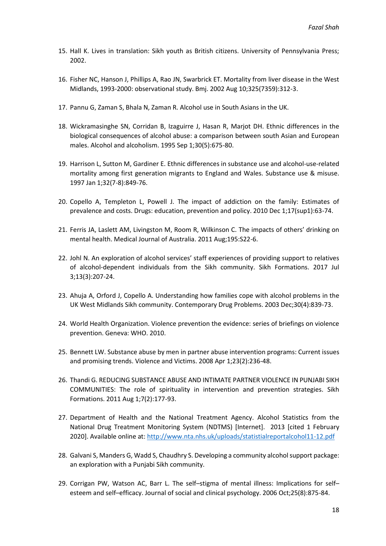- 15. Hall K. Lives in translation: Sikh youth as British citizens. University of Pennsylvania Press; 2002.
- 16. Fisher NC, Hanson J, Phillips A, Rao JN, Swarbrick ET. Mortality from liver disease in the West Midlands, 1993-2000: observational study. Bmj. 2002 Aug 10;325(7359):312-3.
- 17. Pannu G, Zaman S, Bhala N, Zaman R. Alcohol use in South Asians in the UK.
- 18. Wickramasinghe SN, Corridan B, Izaguirre J, Hasan R, Marjot DH. Ethnic differences in the biological consequences of alcohol abuse: a comparison between south Asian and European males. Alcohol and alcoholism. 1995 Sep 1;30(5):675-80.
- 19. Harrison L, Sutton M, Gardiner E. Ethnic differences in substance use and alcohol-use-related mortality among first generation migrants to England and Wales. Substance use & misuse. 1997 Jan 1;32(7-8):849-76.
- 20. Copello A, Templeton L, Powell J. The impact of addiction on the family: Estimates of prevalence and costs. Drugs: education, prevention and policy. 2010 Dec 1;17(sup1):63-74.
- 21. Ferris JA, Laslett AM, Livingston M, Room R, Wilkinson C. The impacts of others' drinking on mental health. Medical Journal of Australia. 2011 Aug;195:S22-6.
- 22. Johl N. An exploration of alcohol services' staff experiences of providing support to relatives of alcohol-dependent individuals from the Sikh community. Sikh Formations. 2017 Jul 3;13(3):207-24.
- 23. Ahuja A, Orford J, Copello A. Understanding how families cope with alcohol problems in the UK West Midlands Sikh community. Contemporary Drug Problems. 2003 Dec;30(4):839-73.
- 24. World Health Organization. Violence prevention the evidence: series of briefings on violence prevention. Geneva: WHO. 2010.
- 25. Bennett LW. Substance abuse by men in partner abuse intervention programs: Current issues and promising trends. Violence and Victims. 2008 Apr 1;23(2):236-48.
- 26. Thandi G. REDUCING SUBSTANCE ABUSE AND INTIMATE PARTNER VIOLENCE IN PUNJABI SIKH COMMUNITIES: The role of spirituality in intervention and prevention strategies. Sikh Formations. 2011 Aug 1;7(2):177-93.
- 27. Department of Health and the National Treatment Agency. Alcohol Statistics from the National Drug Treatment Monitoring System (NDTMS) [Internet]. 2013 [cited 1 February 2020]. Available online at:<http://www.nta.nhs.uk/uploads/statistialreportalcohol11-12.pdf>
- 28. Galvani S, Manders G, Wadd S, Chaudhry S. Developing a community alcohol support package: an exploration with a Punjabi Sikh community.
- 29. Corrigan PW, Watson AC, Barr L. The self–stigma of mental illness: Implications for self– esteem and self–efficacy. Journal of social and clinical psychology. 2006 Oct;25(8):875-84.